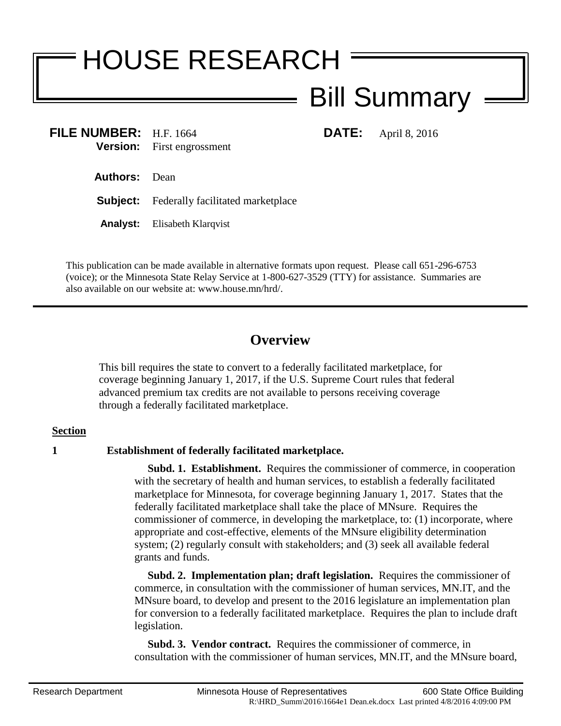# HOUSE RESEARCH

## Bill Summary

**FILE NUMBER:** H.F. 1664 **DATE:** April 8, 2016 **Version:** First engrossment First engrossment

- **Authors:** Dean
- **Subject:** Federally facilitated marketplace
- **Analyst:** Elisabeth Klarqvist

This publication can be made available in alternative formats upon request. Please call 651-296-6753 (voice); or the Minnesota State Relay Service at 1-800-627-3529 (TTY) for assistance. Summaries are also available on our website at: www.house.mn/hrd/.

### **Overview**

This bill requires the state to convert to a federally facilitated marketplace, for coverage beginning January 1, 2017, if the U.S. Supreme Court rules that federal advanced premium tax credits are not available to persons receiving coverage through a federally facilitated marketplace.

#### **Section**

#### **1 Establishment of federally facilitated marketplace.**

 **Subd. 1. Establishment.** Requires the commissioner of commerce, in cooperation with the secretary of health and human services, to establish a federally facilitated marketplace for Minnesota, for coverage beginning January 1, 2017. States that the federally facilitated marketplace shall take the place of MNsure. Requires the commissioner of commerce, in developing the marketplace, to: (1) incorporate, where appropriate and cost-effective, elements of the MNsure eligibility determination system; (2) regularly consult with stakeholders; and (3) seek all available federal grants and funds.

 **Subd. 2. Implementation plan; draft legislation.** Requires the commissioner of commerce, in consultation with the commissioner of human services, MN.IT, and the MNsure board, to develop and present to the 2016 legislature an implementation plan for conversion to a federally facilitated marketplace. Requires the plan to include draft legislation.

 **Subd. 3. Vendor contract.** Requires the commissioner of commerce, in consultation with the commissioner of human services, MN.IT, and the MNsure board,